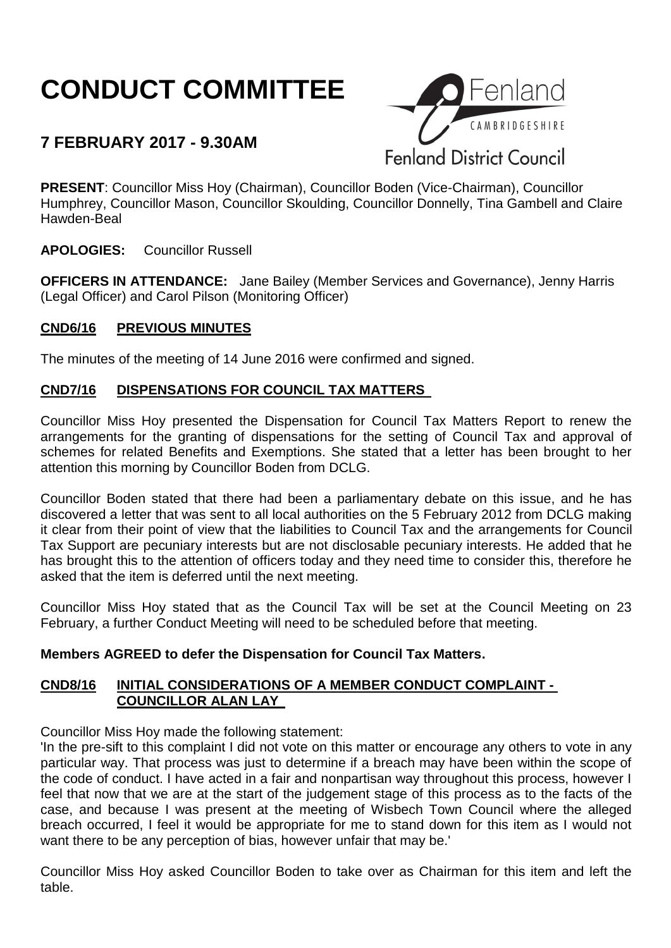# **CONDUCT COMMITTEE**

# **7 FEBRUARY 2017 - 9.30AM**



**PRESENT**: Councillor Miss Hoy (Chairman), Councillor Boden (Vice-Chairman), Councillor Humphrey, Councillor Mason, Councillor Skoulding, Councillor Donnelly, Tina Gambell and Claire Hawden-Beal

**APOLOGIES:** Councillor Russell

**OFFICERS IN ATTENDANCE:** Jane Bailey (Member Services and Governance), Jenny Harris (Legal Officer) and Carol Pilson (Monitoring Officer)

#### **CND6/16 PREVIOUS MINUTES**

The minutes of the meeting of 14 June 2016 were confirmed and signed.

## **CND7/16 DISPENSATIONS FOR COUNCIL TAX MATTERS**

Councillor Miss Hoy presented the Dispensation for Council Tax Matters Report to renew the arrangements for the granting of dispensations for the setting of Council Tax and approval of schemes for related Benefits and Exemptions. She stated that a letter has been brought to her attention this morning by Councillor Boden from DCLG.

Councillor Boden stated that there had been a parliamentary debate on this issue, and he has discovered a letter that was sent to all local authorities on the 5 February 2012 from DCLG making it clear from their point of view that the liabilities to Council Tax and the arrangements for Council Tax Support are pecuniary interests but are not disclosable pecuniary interests. He added that he has brought this to the attention of officers today and they need time to consider this, therefore he asked that the item is deferred until the next meeting.

Councillor Miss Hoy stated that as the Council Tax will be set at the Council Meeting on 23 February, a further Conduct Meeting will need to be scheduled before that meeting.

#### **Members AGREED to defer the Dispensation for Council Tax Matters.**

## **CND8/16 INITIAL CONSIDERATIONS OF A MEMBER CONDUCT COMPLAINT - COUNCILLOR ALAN LAY**

Councillor Miss Hoy made the following statement:

'In the pre-sift to this complaint I did not vote on this matter or encourage any others to vote in any particular way. That process was just to determine if a breach may have been within the scope of the code of conduct. I have acted in a fair and nonpartisan way throughout this process, however I feel that now that we are at the start of the judgement stage of this process as to the facts of the case, and because I was present at the meeting of Wisbech Town Council where the alleged breach occurred, I feel it would be appropriate for me to stand down for this item as I would not want there to be any perception of bias, however unfair that may be.'

Councillor Miss Hoy asked Councillor Boden to take over as Chairman for this item and left the table.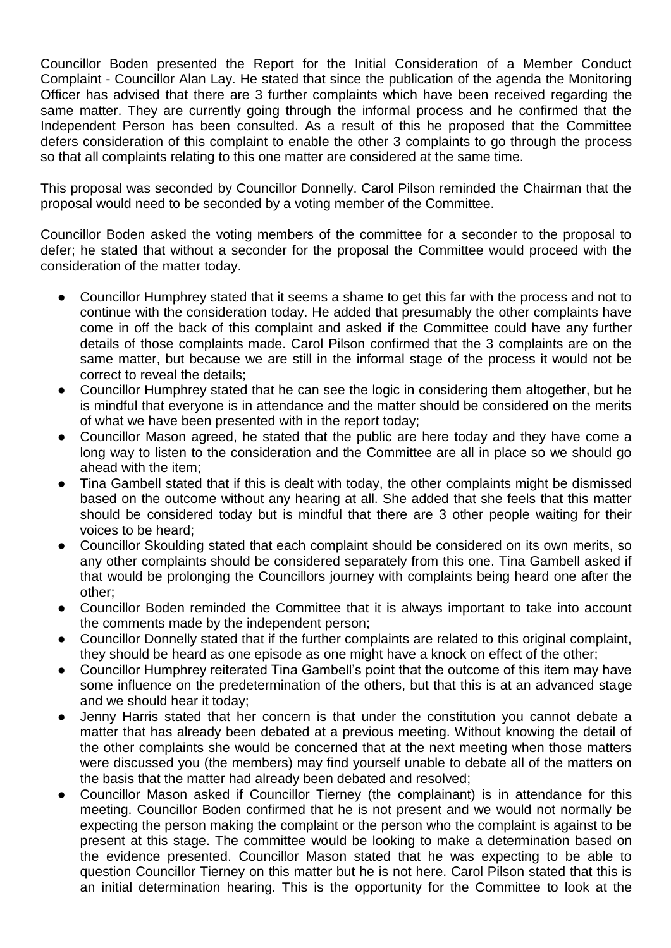Councillor Boden presented the Report for the Initial Consideration of a Member Conduct Complaint - Councillor Alan Lay. He stated that since the publication of the agenda the Monitoring Officer has advised that there are 3 further complaints which have been received regarding the same matter. They are currently going through the informal process and he confirmed that the Independent Person has been consulted. As a result of this he proposed that the Committee defers consideration of this complaint to enable the other 3 complaints to go through the process so that all complaints relating to this one matter are considered at the same time.

This proposal was seconded by Councillor Donnelly. Carol Pilson reminded the Chairman that the proposal would need to be seconded by a voting member of the Committee.

Councillor Boden asked the voting members of the committee for a seconder to the proposal to defer; he stated that without a seconder for the proposal the Committee would proceed with the consideration of the matter today.

- Councillor Humphrey stated that it seems a shame to get this far with the process and not to continue with the consideration today. He added that presumably the other complaints have come in off the back of this complaint and asked if the Committee could have any further details of those complaints made. Carol Pilson confirmed that the 3 complaints are on the same matter, but because we are still in the informal stage of the process it would not be correct to reveal the details;
- Councillor Humphrey stated that he can see the logic in considering them altogether, but he is mindful that everyone is in attendance and the matter should be considered on the merits of what we have been presented with in the report today;
- Councillor Mason agreed, he stated that the public are here today and they have come a long way to listen to the consideration and the Committee are all in place so we should go ahead with the item;
- Tina Gambell stated that if this is dealt with today, the other complaints might be dismissed based on the outcome without any hearing at all. She added that she feels that this matter should be considered today but is mindful that there are 3 other people waiting for their voices to be heard;
- Councillor Skoulding stated that each complaint should be considered on its own merits, so any other complaints should be considered separately from this one. Tina Gambell asked if that would be prolonging the Councillors journey with complaints being heard one after the other;
- Councillor Boden reminded the Committee that it is always important to take into account the comments made by the independent person;
- Councillor Donnelly stated that if the further complaints are related to this original complaint, they should be heard as one episode as one might have a knock on effect of the other;
- Councillor Humphrey reiterated Tina Gambell's point that the outcome of this item may have some influence on the predetermination of the others, but that this is at an advanced stage and we should hear it today;
- Jenny Harris stated that her concern is that under the constitution you cannot debate a matter that has already been debated at a previous meeting. Without knowing the detail of the other complaints she would be concerned that at the next meeting when those matters were discussed you (the members) may find yourself unable to debate all of the matters on the basis that the matter had already been debated and resolved;
- Councillor Mason asked if Councillor Tierney (the complainant) is in attendance for this meeting. Councillor Boden confirmed that he is not present and we would not normally be expecting the person making the complaint or the person who the complaint is against to be present at this stage. The committee would be looking to make a determination based on the evidence presented. Councillor Mason stated that he was expecting to be able to question Councillor Tierney on this matter but he is not here. Carol Pilson stated that this is an initial determination hearing. This is the opportunity for the Committee to look at the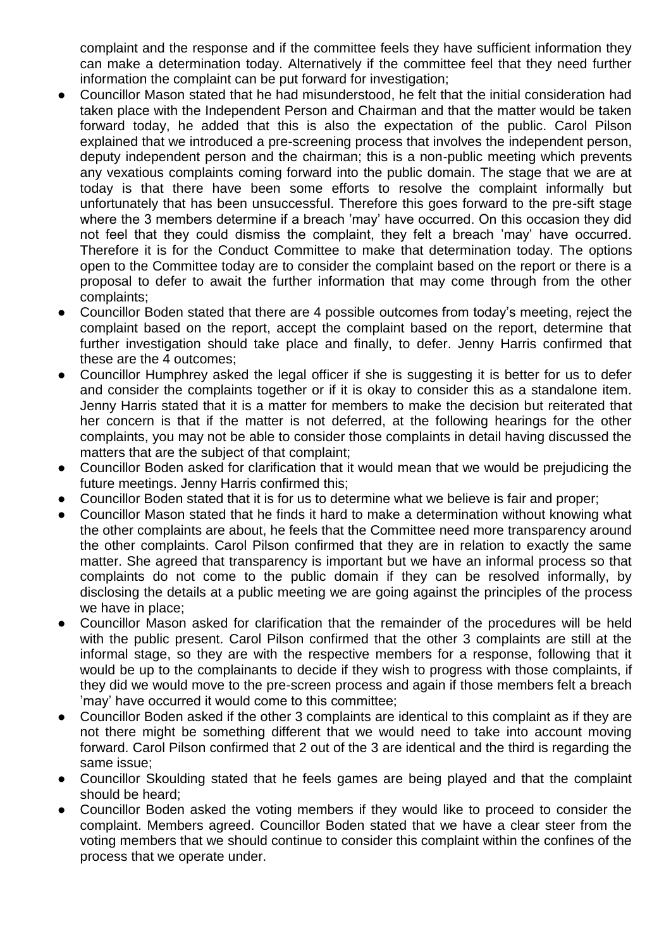complaint and the response and if the committee feels they have sufficient information they can make a determination today. Alternatively if the committee feel that they need further information the complaint can be put forward for investigation;

- Councillor Mason stated that he had misunderstood, he felt that the initial consideration had taken place with the Independent Person and Chairman and that the matter would be taken forward today, he added that this is also the expectation of the public. Carol Pilson explained that we introduced a pre-screening process that involves the independent person, deputy independent person and the chairman; this is a non-public meeting which prevents any vexatious complaints coming forward into the public domain. The stage that we are at today is that there have been some efforts to resolve the complaint informally but unfortunately that has been unsuccessful. Therefore this goes forward to the pre-sift stage where the 3 members determine if a breach 'may' have occurred. On this occasion they did not feel that they could dismiss the complaint, they felt a breach 'may' have occurred. Therefore it is for the Conduct Committee to make that determination today. The options open to the Committee today are to consider the complaint based on the report or there is a proposal to defer to await the further information that may come through from the other complaints;
- Councillor Boden stated that there are 4 possible outcomes from today's meeting, reject the complaint based on the report, accept the complaint based on the report, determine that further investigation should take place and finally, to defer. Jenny Harris confirmed that these are the 4 outcomes;
- Councillor Humphrey asked the legal officer if she is suggesting it is better for us to defer and consider the complaints together or if it is okay to consider this as a standalone item. Jenny Harris stated that it is a matter for members to make the decision but reiterated that her concern is that if the matter is not deferred, at the following hearings for the other complaints, you may not be able to consider those complaints in detail having discussed the matters that are the subject of that complaint;
- Councillor Boden asked for clarification that it would mean that we would be prejudicing the future meetings. Jenny Harris confirmed this;
- Councillor Boden stated that it is for us to determine what we believe is fair and proper;
- Councillor Mason stated that he finds it hard to make a determination without knowing what the other complaints are about, he feels that the Committee need more transparency around the other complaints. Carol Pilson confirmed that they are in relation to exactly the same matter. She agreed that transparency is important but we have an informal process so that complaints do not come to the public domain if they can be resolved informally, by disclosing the details at a public meeting we are going against the principles of the process we have in place;
- Councillor Mason asked for clarification that the remainder of the procedures will be held with the public present. Carol Pilson confirmed that the other 3 complaints are still at the informal stage, so they are with the respective members for a response, following that it would be up to the complainants to decide if they wish to progress with those complaints, if they did we would move to the pre-screen process and again if those members felt a breach 'may' have occurred it would come to this committee;
- Councillor Boden asked if the other 3 complaints are identical to this complaint as if they are not there might be something different that we would need to take into account moving forward. Carol Pilson confirmed that 2 out of the 3 are identical and the third is regarding the same issue;
- Councillor Skoulding stated that he feels games are being played and that the complaint should be heard;
- Councillor Boden asked the voting members if they would like to proceed to consider the complaint. Members agreed. Councillor Boden stated that we have a clear steer from the voting members that we should continue to consider this complaint within the confines of the process that we operate under.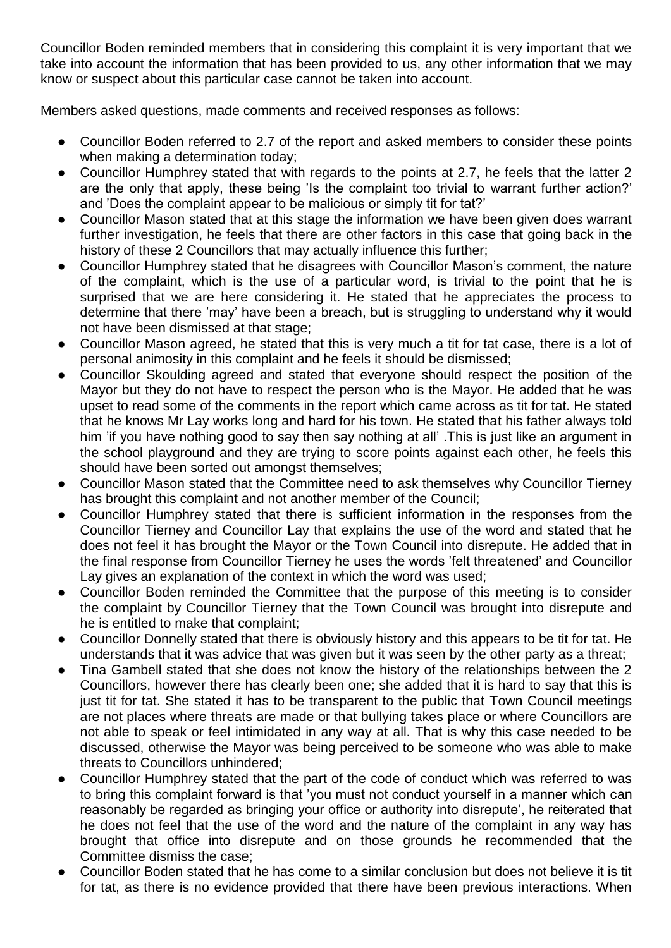Councillor Boden reminded members that in considering this complaint it is very important that we take into account the information that has been provided to us, any other information that we may know or suspect about this particular case cannot be taken into account.

Members asked questions, made comments and received responses as follows:

- Councillor Boden referred to 2.7 of the report and asked members to consider these points when making a determination today;
- Councillor Humphrey stated that with regards to the points at 2.7, he feels that the latter 2 are the only that apply, these being 'Is the complaint too trivial to warrant further action?' and 'Does the complaint appear to be malicious or simply tit for tat?'
- Councillor Mason stated that at this stage the information we have been given does warrant further investigation, he feels that there are other factors in this case that going back in the history of these 2 Councillors that may actually influence this further;
- Councillor Humphrey stated that he disagrees with Councillor Mason's comment, the nature of the complaint, which is the use of a particular word, is trivial to the point that he is surprised that we are here considering it. He stated that he appreciates the process to determine that there 'may' have been a breach, but is struggling to understand why it would not have been dismissed at that stage;
- Councillor Mason agreed, he stated that this is very much a tit for tat case, there is a lot of personal animosity in this complaint and he feels it should be dismissed;
- Councillor Skoulding agreed and stated that everyone should respect the position of the Mayor but they do not have to respect the person who is the Mayor. He added that he was upset to read some of the comments in the report which came across as tit for tat. He stated that he knows Mr Lay works long and hard for his town. He stated that his father always told him 'if you have nothing good to say then say nothing at all' .This is just like an argument in the school playground and they are trying to score points against each other, he feels this should have been sorted out amongst themselves;
- Councillor Mason stated that the Committee need to ask themselves why Councillor Tierney has brought this complaint and not another member of the Council;
- Councillor Humphrey stated that there is sufficient information in the responses from the Councillor Tierney and Councillor Lay that explains the use of the word and stated that he does not feel it has brought the Mayor or the Town Council into disrepute. He added that in the final response from Councillor Tierney he uses the words 'felt threatened' and Councillor Lay gives an explanation of the context in which the word was used;
- Councillor Boden reminded the Committee that the purpose of this meeting is to consider the complaint by Councillor Tierney that the Town Council was brought into disrepute and he is entitled to make that complaint;
- Councillor Donnelly stated that there is obviously history and this appears to be tit for tat. He understands that it was advice that was given but it was seen by the other party as a threat;
- Tina Gambell stated that she does not know the history of the relationships between the 2 Councillors, however there has clearly been one; she added that it is hard to say that this is just tit for tat. She stated it has to be transparent to the public that Town Council meetings are not places where threats are made or that bullying takes place or where Councillors are not able to speak or feel intimidated in any way at all. That is why this case needed to be discussed, otherwise the Mayor was being perceived to be someone who was able to make threats to Councillors unhindered;
- Councillor Humphrey stated that the part of the code of conduct which was referred to was to bring this complaint forward is that 'you must not conduct yourself in a manner which can reasonably be regarded as bringing your office or authority into disrepute', he reiterated that he does not feel that the use of the word and the nature of the complaint in any way has brought that office into disrepute and on those grounds he recommended that the Committee dismiss the case;
- Councillor Boden stated that he has come to a similar conclusion but does not believe it is tit for tat, as there is no evidence provided that there have been previous interactions. When